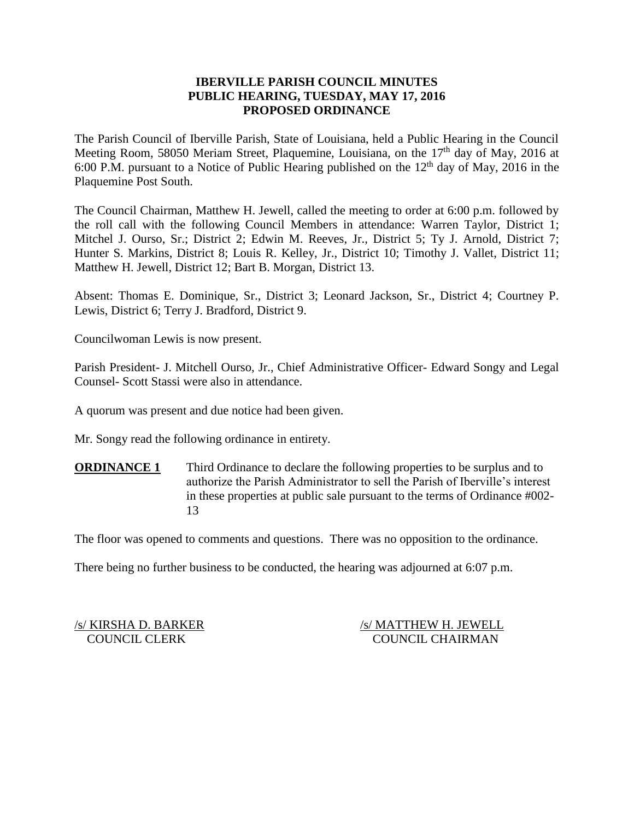## **IBERVILLE PARISH COUNCIL MINUTES PUBLIC HEARING, TUESDAY, MAY 17, 2016 PROPOSED ORDINANCE**

The Parish Council of Iberville Parish, State of Louisiana, held a Public Hearing in the Council Meeting Room, 58050 Meriam Street, Plaquemine, Louisiana, on the 17<sup>th</sup> day of May, 2016 at 6:00 P.M. pursuant to a Notice of Public Hearing published on the  $12<sup>th</sup>$  day of May, 2016 in the Plaquemine Post South.

The Council Chairman, Matthew H. Jewell, called the meeting to order at 6:00 p.m. followed by the roll call with the following Council Members in attendance: Warren Taylor, District 1; Mitchel J. Ourso, Sr.; District 2; Edwin M. Reeves, Jr., District 5; Ty J. Arnold, District 7; Hunter S. Markins, District 8; Louis R. Kelley, Jr., District 10; Timothy J. Vallet, District 11; Matthew H. Jewell, District 12; Bart B. Morgan, District 13.

Absent: Thomas E. Dominique, Sr., District 3; Leonard Jackson, Sr., District 4; Courtney P. Lewis, District 6; Terry J. Bradford, District 9.

Councilwoman Lewis is now present.

Parish President- J. Mitchell Ourso, Jr., Chief Administrative Officer- Edward Songy and Legal Counsel- Scott Stassi were also in attendance.

A quorum was present and due notice had been given.

Mr. Songy read the following ordinance in entirety.

**ORDINANCE 1** Third Ordinance to declare the following properties to be surplus and to authorize the Parish Administrator to sell the Parish of Iberville's interest in these properties at public sale pursuant to the terms of Ordinance #002- 13

The floor was opened to comments and questions. There was no opposition to the ordinance.

There being no further business to be conducted, the hearing was adjourned at 6:07 p.m.

/s/ KIRSHA D. BARKER /s/ MATTHEW H. JEWELL COUNCIL CLERK COUNCIL CHAIRMAN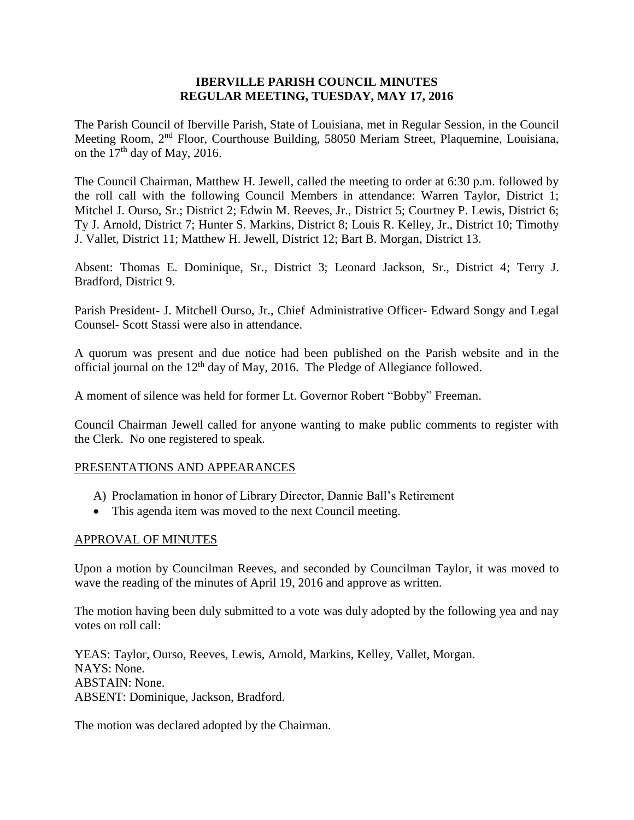### **IBERVILLE PARISH COUNCIL MINUTES REGULAR MEETING, TUESDAY, MAY 17, 2016**

The Parish Council of Iberville Parish, State of Louisiana, met in Regular Session, in the Council Meeting Room, 2nd Floor, Courthouse Building, 58050 Meriam Street, Plaquemine, Louisiana, on the  $17<sup>th</sup>$  day of May, 2016.

The Council Chairman, Matthew H. Jewell, called the meeting to order at 6:30 p.m. followed by the roll call with the following Council Members in attendance: Warren Taylor, District 1; Mitchel J. Ourso, Sr.; District 2; Edwin M. Reeves, Jr., District 5; Courtney P. Lewis, District 6; Ty J. Arnold, District 7; Hunter S. Markins, District 8; Louis R. Kelley, Jr., District 10; Timothy J. Vallet, District 11; Matthew H. Jewell, District 12; Bart B. Morgan, District 13.

Absent: Thomas E. Dominique, Sr., District 3; Leonard Jackson, Sr., District 4; Terry J. Bradford, District 9.

Parish President- J. Mitchell Ourso, Jr., Chief Administrative Officer- Edward Songy and Legal Counsel- Scott Stassi were also in attendance.

A quorum was present and due notice had been published on the Parish website and in the official journal on the  $12<sup>th</sup>$  day of May, 2016. The Pledge of Allegiance followed.

A moment of silence was held for former Lt. Governor Robert "Bobby" Freeman.

Council Chairman Jewell called for anyone wanting to make public comments to register with the Clerk. No one registered to speak.

# PRESENTATIONS AND APPEARANCES

- A) Proclamation in honor of Library Director, Dannie Ball's Retirement
- This agenda item was moved to the next Council meeting.

#### APPROVAL OF MINUTES

Upon a motion by Councilman Reeves, and seconded by Councilman Taylor, it was moved to wave the reading of the minutes of April 19, 2016 and approve as written.

The motion having been duly submitted to a vote was duly adopted by the following yea and nay votes on roll call:

YEAS: Taylor, Ourso, Reeves, Lewis, Arnold, Markins, Kelley, Vallet, Morgan. NAYS: None. ABSTAIN: None. ABSENT: Dominique, Jackson, Bradford.

The motion was declared adopted by the Chairman.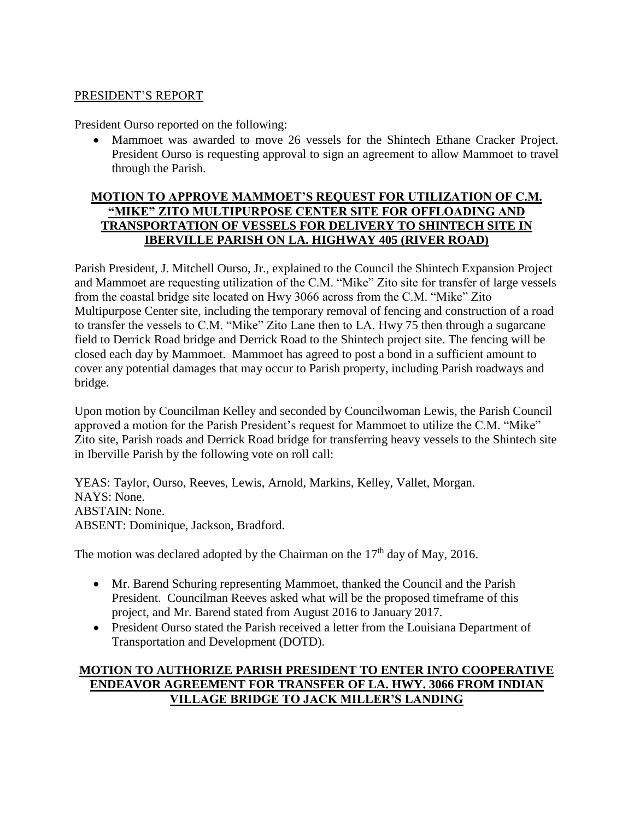## PRESIDENT'S REPORT

President Ourso reported on the following:

 Mammoet was awarded to move 26 vessels for the Shintech Ethane Cracker Project. President Ourso is requesting approval to sign an agreement to allow Mammoet to travel through the Parish.

# **MOTION TO APPROVE MAMMOET'S REQUEST FOR UTILIZATION OF C.M. "MIKE" ZITO MULTIPURPOSE CENTER SITE FOR OFFLOADING AND TRANSPORTATION OF VESSELS FOR DELIVERY TO SHINTECH SITE IN IBERVILLE PARISH ON LA. HIGHWAY 405 (RIVER ROAD)**

Parish President, J. Mitchell Ourso, Jr., explained to the Council the Shintech Expansion Project and Mammoet are requesting utilization of the C.M. "Mike" Zito site for transfer of large vessels from the coastal bridge site located on Hwy 3066 across from the C.M. "Mike" Zito Multipurpose Center site, including the temporary removal of fencing and construction of a road to transfer the vessels to C.M. "Mike" Zito Lane then to LA. Hwy 75 then through a sugarcane field to Derrick Road bridge and Derrick Road to the Shintech project site. The fencing will be closed each day by Mammoet. Mammoet has agreed to post a bond in a sufficient amount to cover any potential damages that may occur to Parish property, including Parish roadways and bridge.

Upon motion by Councilman Kelley and seconded by Councilwoman Lewis, the Parish Council approved a motion for the Parish President's request for Mammoet to utilize the C.M. "Mike" Zito site, Parish roads and Derrick Road bridge for transferring heavy vessels to the Shintech site in Iberville Parish by the following vote on roll call:

YEAS: Taylor, Ourso, Reeves, Lewis, Arnold, Markins, Kelley, Vallet, Morgan. NAYS: None. ABSTAIN: None. ABSENT: Dominique, Jackson, Bradford.

The motion was declared adopted by the Chairman on the  $17<sup>th</sup>$  day of May, 2016.

- Mr. Barend Schuring representing Mammoet, thanked the Council and the Parish President. Councilman Reeves asked what will be the proposed timeframe of this project, and Mr. Barend stated from August 2016 to January 2017.
- President Ourso stated the Parish received a letter from the Louisiana Department of Transportation and Development (DOTD).

# **MOTION TO AUTHORIZE PARISH PRESIDENT TO ENTER INTO COOPERATIVE ENDEAVOR AGREEMENT FOR TRANSFER OF LA. HWY. 3066 FROM INDIAN VILLAGE BRIDGE TO JACK MILLER'S LANDING**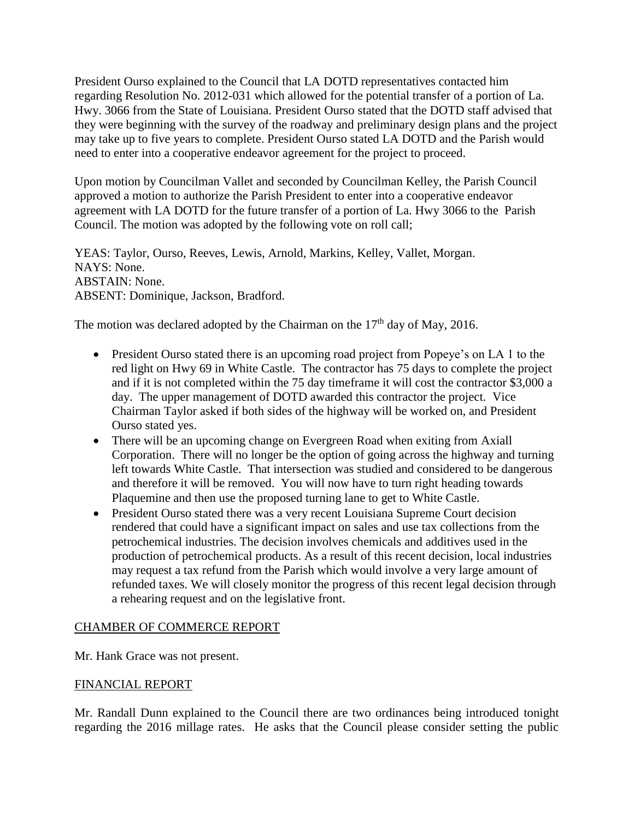President Ourso explained to the Council that LA DOTD representatives contacted him regarding Resolution No. 2012-031 which allowed for the potential transfer of a portion of La. Hwy. 3066 from the State of Louisiana. President Ourso stated that the DOTD staff advised that they were beginning with the survey of the roadway and preliminary design plans and the project may take up to five years to complete. President Ourso stated LA DOTD and the Parish would need to enter into a cooperative endeavor agreement for the project to proceed.

Upon motion by Councilman Vallet and seconded by Councilman Kelley, the Parish Council approved a motion to authorize the Parish President to enter into a cooperative endeavor agreement with LA DOTD for the future transfer of a portion of La. Hwy 3066 to the Parish Council. The motion was adopted by the following vote on roll call;

YEAS: Taylor, Ourso, Reeves, Lewis, Arnold, Markins, Kelley, Vallet, Morgan. NAYS: None. ABSTAIN: None. ABSENT: Dominique, Jackson, Bradford.

The motion was declared adopted by the Chairman on the  $17<sup>th</sup>$  day of May, 2016.

- President Ourso stated there is an upcoming road project from Popeye's on LA 1 to the red light on Hwy 69 in White Castle. The contractor has 75 days to complete the project and if it is not completed within the 75 day timeframe it will cost the contractor \$3,000 a day. The upper management of DOTD awarded this contractor the project. Vice Chairman Taylor asked if both sides of the highway will be worked on, and President Ourso stated yes.
- There will be an upcoming change on Evergreen Road when exiting from Axiall Corporation. There will no longer be the option of going across the highway and turning left towards White Castle. That intersection was studied and considered to be dangerous and therefore it will be removed. You will now have to turn right heading towards Plaquemine and then use the proposed turning lane to get to White Castle.
- President Ourso stated there was a very recent Louisiana Supreme Court decision rendered that could have a significant impact on sales and use tax collections from the petrochemical industries. The decision involves chemicals and additives used in the production of petrochemical products. As a result of this recent decision, local industries may request a tax refund from the Parish which would involve a very large amount of refunded taxes. We will closely monitor the progress of this recent legal decision through a rehearing request and on the legislative front.

# CHAMBER OF COMMERCE REPORT

Mr. Hank Grace was not present.

# FINANCIAL REPORT

Mr. Randall Dunn explained to the Council there are two ordinances being introduced tonight regarding the 2016 millage rates. He asks that the Council please consider setting the public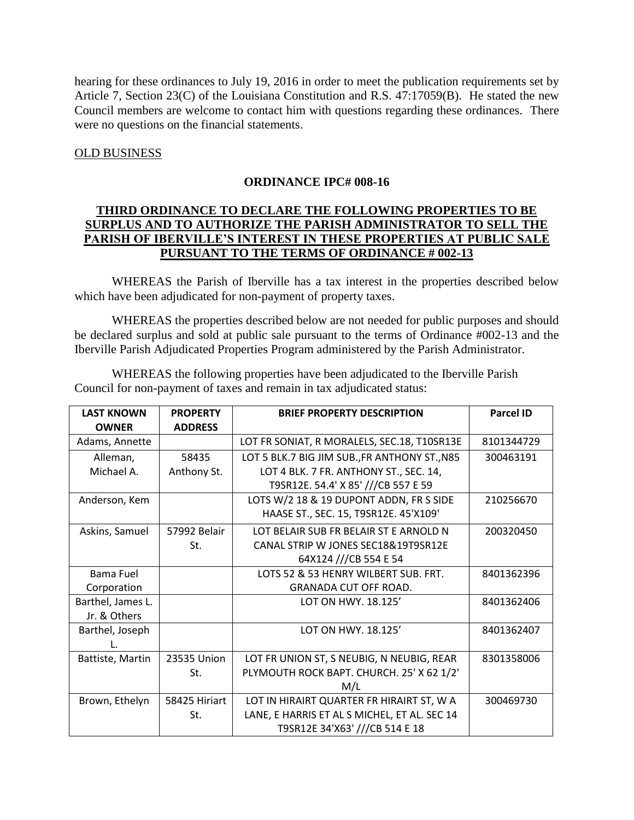hearing for these ordinances to July 19, 2016 in order to meet the publication requirements set by Article 7, Section 23(C) of the Louisiana Constitution and R.S. 47:17059(B). He stated the new Council members are welcome to contact him with questions regarding these ordinances. There were no questions on the financial statements.

### OLD BUSINESS

## **ORDINANCE IPC# 008-16**

## **THIRD ORDINANCE TO DECLARE THE FOLLOWING PROPERTIES TO BE SURPLUS AND TO AUTHORIZE THE PARISH ADMINISTRATOR TO SELL THE PARISH OF IBERVILLE'S INTEREST IN THESE PROPERTIES AT PUBLIC SALE PURSUANT TO THE TERMS OF ORDINANCE # 002-13**

WHEREAS the Parish of Iberville has a tax interest in the properties described below which have been adjudicated for non-payment of property taxes.

WHEREAS the properties described below are not needed for public purposes and should be declared surplus and sold at public sale pursuant to the terms of Ordinance #002-13 and the Iberville Parish Adjudicated Properties Program administered by the Parish Administrator.

WHEREAS the following properties have been adjudicated to the Iberville Parish Council for non-payment of taxes and remain in tax adjudicated status:

| <b>LAST KNOWN</b> | <b>PROPERTY</b> | <b>BRIEF PROPERTY DESCRIPTION</b>             | <b>Parcel ID</b> |
|-------------------|-----------------|-----------------------------------------------|------------------|
| <b>OWNER</b>      | <b>ADDRESS</b>  |                                               |                  |
| Adams, Annette    |                 | LOT FR SONIAT, R MORALELS, SEC.18, T10SR13E   | 8101344729       |
| Alleman,          | 58435           | LOT 5 BLK.7 BIG JIM SUB., FR ANTHONY ST., N85 | 300463191        |
| Michael A.        | Anthony St.     | LOT 4 BLK. 7 FR. ANTHONY ST., SEC. 14,        |                  |
|                   |                 | T9SR12E. 54.4' X 85' ///CB 557 E 59           |                  |
| Anderson, Kem     |                 | LOTS W/2 18 & 19 DUPONT ADDN, FR S SIDE       | 210256670        |
|                   |                 | HAASE ST., SEC. 15, T9SR12E. 45'X109'         |                  |
| Askins, Samuel    | 57992 Belair    | LOT BELAIR SUB FR BELAIR ST E ARNOLD N        | 200320450        |
|                   | St.             | CANAL STRIP W JONES SEC18&19T9SR12E           |                  |
|                   |                 | 64X124 ///CB 554 E 54                         |                  |
| <b>Bama Fuel</b>  |                 | LOTS 52 & 53 HENRY WILBERT SUB. FRT.          | 8401362396       |
| Corporation       |                 | GRANADA CUT OFF ROAD.                         |                  |
| Barthel, James L. |                 | LOT ON HWY. 18.125'                           | 8401362406       |
| Jr. & Others      |                 |                                               |                  |
| Barthel, Joseph   |                 | LOT ON HWY, 18.125'                           | 8401362407       |
|                   |                 |                                               |                  |
| Battiste, Martin  | 23535 Union     | LOT FR UNION ST, S NEUBIG, N NEUBIG, REAR     | 8301358006       |
|                   | St.             | PLYMOUTH ROCK BAPT. CHURCH. 25' X 62 1/2'     |                  |
|                   |                 | M/L                                           |                  |
| Brown, Ethelyn    | 58425 Hiriart   | LOT IN HIRAIRT QUARTER FR HIRAIRT ST, W A     | 300469730        |
|                   | St.             | LANE, E HARRIS ET AL S MICHEL, ET AL. SEC 14  |                  |
|                   |                 | T9SR12E 34'X63' ///CB 514 E 18                |                  |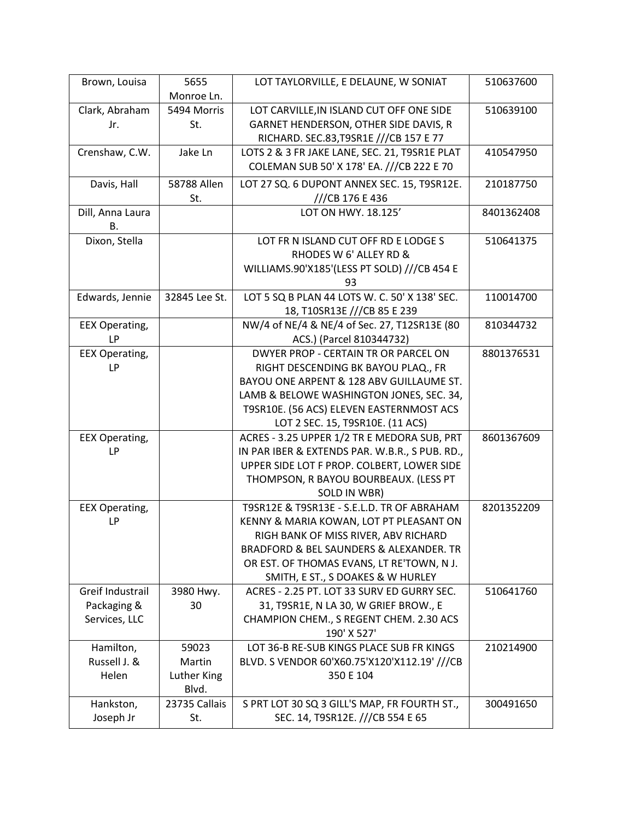| Brown, Louisa         | 5655          | LOT TAYLORVILLE, E DELAUNE, W SONIAT           | 510637600  |
|-----------------------|---------------|------------------------------------------------|------------|
|                       | Monroe Ln.    |                                                |            |
| Clark, Abraham        | 5494 Morris   | LOT CARVILLE, IN ISLAND CUT OFF ONE SIDE       | 510639100  |
| Jr.                   | St.           | GARNET HENDERSON, OTHER SIDE DAVIS, R          |            |
|                       |               | RICHARD. SEC.83, T9SR1E ///CB 157 E 77         |            |
| Crenshaw, C.W.        | Jake Ln       | LOTS 2 & 3 FR JAKE LANE, SEC. 21, T9SR1E PLAT  | 410547950  |
|                       |               | COLEMAN SUB 50' X 178' EA. ///CB 222 E 70      |            |
| Davis, Hall           | 58788 Allen   | LOT 27 SQ. 6 DUPONT ANNEX SEC. 15, T9SR12E.    | 210187750  |
|                       | St.           | ///CB 176 E 436                                |            |
| Dill, Anna Laura      |               | LOT ON HWY, 18.125'                            | 8401362408 |
| Β.                    |               |                                                |            |
| Dixon, Stella         |               | LOT FR N ISLAND CUT OFF RD E LODGE S           | 510641375  |
|                       |               | RHODES W 6' ALLEY RD &                         |            |
|                       |               | WILLIAMS.90'X185'(LESS PT SOLD) ///CB 454 E    |            |
|                       |               | 93                                             |            |
| Edwards, Jennie       | 32845 Lee St. | LOT 5 SQ B PLAN 44 LOTS W. C. 50' X 138' SEC.  | 110014700  |
|                       |               | 18, T10SR13E ///CB 85 E 239                    |            |
| <b>EEX Operating,</b> |               | NW/4 of NE/4 & NE/4 of Sec. 27, T12SR13E (80   | 810344732  |
| <b>LP</b>             |               | ACS.) (Parcel 810344732)                       |            |
| <b>EEX Operating,</b> |               | DWYER PROP - CERTAIN TR OR PARCEL ON           | 8801376531 |
| LP                    |               | RIGHT DESCENDING BK BAYOU PLAQ., FR            |            |
|                       |               | BAYOU ONE ARPENT & 128 ABV GUILLAUME ST.       |            |
|                       |               | LAMB & BELOWE WASHINGTON JONES, SEC. 34,       |            |
|                       |               | T9SR10E. (56 ACS) ELEVEN EASTERNMOST ACS       |            |
|                       |               | LOT 2 SEC. 15, T9SR10E. (11 ACS)               |            |
| <b>EEX Operating,</b> |               | ACRES - 3.25 UPPER 1/2 TR E MEDORA SUB, PRT    | 8601367609 |
| LP                    |               | IN PAR IBER & EXTENDS PAR. W.B.R., S PUB. RD., |            |
|                       |               | UPPER SIDE LOT F PROP. COLBERT, LOWER SIDE     |            |
|                       |               | THOMPSON, R BAYOU BOURBEAUX. (LESS PT          |            |
|                       |               | SOLD IN WBR)                                   |            |
| <b>EEX Operating,</b> |               | T9SR12E & T9SR13E - S.E.L.D. TR OF ABRAHAM     | 8201352209 |
| LP                    |               | KENNY & MARIA KOWAN, LOT PT PLEASANT ON        |            |
|                       |               | RIGH BANK OF MISS RIVER, ABV RICHARD           |            |
|                       |               | BRADFORD & BEL SAUNDERS & ALEXANDER. TR        |            |
|                       |               | OR EST. OF THOMAS EVANS, LT RE'TOWN, N J.      |            |
|                       |               | SMITH, E ST., S DOAKES & W HURLEY              |            |
| Greif Industrail      | 3980 Hwy.     | ACRES - 2.25 PT. LOT 33 SURV ED GURRY SEC.     | 510641760  |
| Packaging &           | 30            | 31, T9SR1E, N LA 30, W GRIEF BROW., E          |            |
| Services, LLC         |               | CHAMPION CHEM., S REGENT CHEM. 2.30 ACS        |            |
|                       |               | 190' X 527'                                    |            |
| Hamilton,             | 59023         | LOT 36-B RE-SUB KINGS PLACE SUB FR KINGS       | 210214900  |
| Russell J. &          | Martin        | BLVD. S VENDOR 60'X60.75'X120'X112.19' ///CB   |            |
| Helen                 | Luther King   | 350 E 104                                      |            |
|                       | Blvd.         |                                                |            |
| Hankston,             | 23735 Callais | S PRT LOT 30 SQ 3 GILL'S MAP, FR FOURTH ST.,   | 300491650  |
| Joseph Jr             | St.           | SEC. 14, T9SR12E. ///CB 554 E 65               |            |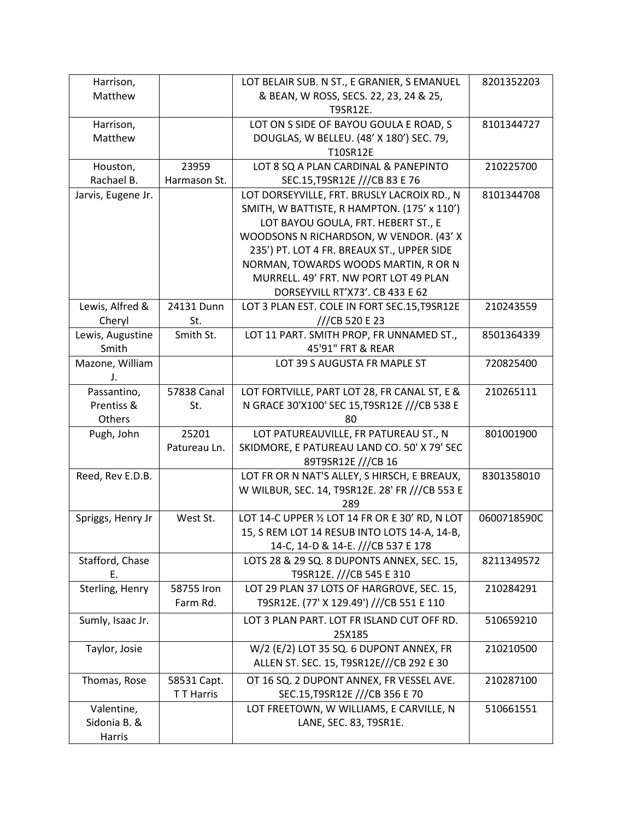| Harrison,                  |                           | LOT BELAIR SUB. N ST., E GRANIER, S EMANUEL     | 8201352203  |
|----------------------------|---------------------------|-------------------------------------------------|-------------|
| Matthew                    |                           | & BEAN, W ROSS, SECS. 22, 23, 24 & 25,          |             |
|                            |                           | T9SR12E.                                        |             |
| Harrison,                  |                           | LOT ON S SIDE OF BAYOU GOULA E ROAD, S          | 8101344727  |
| Matthew                    |                           | DOUGLAS, W BELLEU. (48' X 180') SEC. 79,        |             |
|                            |                           | T10SR12E                                        |             |
| Houston,                   | 23959                     | LOT 8 SQ A PLAN CARDINAL & PANEPINTO            | 210225700   |
| Rachael B.                 | Harmason St.              | SEC.15, T9SR12E ///CB 83 E 76                   |             |
| Jarvis, Eugene Jr.         |                           | LOT DORSEYVILLE, FRT. BRUSLY LACROIX RD., N     | 8101344708  |
|                            |                           | SMITH, W BATTISTE, R HAMPTON. (175' x 110')     |             |
|                            |                           | LOT BAYOU GOULA, FRT. HEBERT ST., E             |             |
|                            |                           | WOODSONS N RICHARDSON, W VENDOR. (43' X         |             |
|                            |                           | 235') PT. LOT 4 FR. BREAUX ST., UPPER SIDE      |             |
|                            |                           | NORMAN, TOWARDS WOODS MARTIN, R OR N            |             |
|                            |                           | MURRELL, 49' FRT. NW PORT LOT 49 PLAN           |             |
|                            |                           | DORSEYVILL RT'X73'. CB 433 E 62                 |             |
| Lewis, Alfred &            | 24131 Dunn                | LOT 3 PLAN EST. COLE IN FORT SEC.15, T9SR12E    | 210243559   |
| Cheryl                     | St.                       | ///CB 520 E 23                                  |             |
| Lewis, Augustine           | Smith St.                 | LOT 11 PART. SMITH PROP, FR UNNAMED ST.,        | 8501364339  |
| Smith                      |                           | 45'91" FRT & REAR                               |             |
| Mazone, William            |                           | LOT 39 S AUGUSTA FR MAPLE ST                    | 720825400   |
| J.                         |                           |                                                 |             |
| Passantino,                | 57838 Canal               | LOT FORTVILLE, PART LOT 28, FR CANAL ST, E &    | 210265111   |
| Prentiss &                 | St.                       | N GRACE 30'X100' SEC 15, T9SR12E ///CB 538 E    |             |
| Others                     |                           | 80                                              |             |
| Pugh, John                 | 25201                     | LOT PATUREAUVILLE, FR PATUREAU ST., N           | 801001900   |
|                            | Patureau Ln.              | SKIDMORE, E PATUREAU LAND CO. 50' X 79' SEC     |             |
|                            |                           | 89T9SR12E ///CB 16                              |             |
| Reed, Rev E.D.B.           |                           | LOT FR OR N NAT'S ALLEY, S HIRSCH, E BREAUX,    | 8301358010  |
|                            |                           | W WILBUR, SEC. 14, T9SR12E. 28' FR ///CB 553 E  |             |
|                            |                           | 289                                             |             |
| Spriggs, Henry Jr          | West St.                  | LOT 14-C UPPER 1/2 LOT 14 FR OR E 30' RD, N LOT | 0600718590C |
|                            |                           | 15, S REM LOT 14 RESUB INTO LOTS 14-A, 14-B,    |             |
|                            |                           | 14-C, 14-D & 14-E. ///CB 537 E 178              |             |
| Stafford, Chase            |                           | LOTS 28 & 29 SQ. 8 DUPONTS ANNEX, SEC. 15,      | 8211349572  |
| Ε.                         |                           | T9SR12E. ///CB 545 E 310                        |             |
| Sterling, Henry            | 58755 Iron                | LOT 29 PLAN 37 LOTS OF HARGROVE, SEC. 15,       | 210284291   |
|                            | Farm Rd.                  | T9SR12E. (77' X 129.49') ///CB 551 E 110        |             |
| Sumly, Isaac Jr.           |                           | LOT 3 PLAN PART. LOT FR ISLAND CUT OFF RD.      | 510659210   |
|                            |                           | 25X185                                          |             |
| Taylor, Josie              |                           | W/2 (E/2) LOT 35 SQ. 6 DUPONT ANNEX, FR         | 210210500   |
|                            |                           | ALLEN ST. SEC. 15, T9SR12E///CB 292 E 30        |             |
|                            |                           | OT 16 SQ. 2 DUPONT ANNEX, FR VESSEL AVE.        | 210287100   |
| Thomas, Rose               | 58531 Capt.<br>T T Harris | SEC.15, T9SR12E ///CB 356 E 70                  |             |
|                            |                           | LOT FREETOWN, W WILLIAMS, E CARVILLE, N         | 510661551   |
| Valentine,<br>Sidonia B. & |                           | LANE, SEC. 83, T9SR1E.                          |             |
|                            |                           |                                                 |             |
| Harris                     |                           |                                                 |             |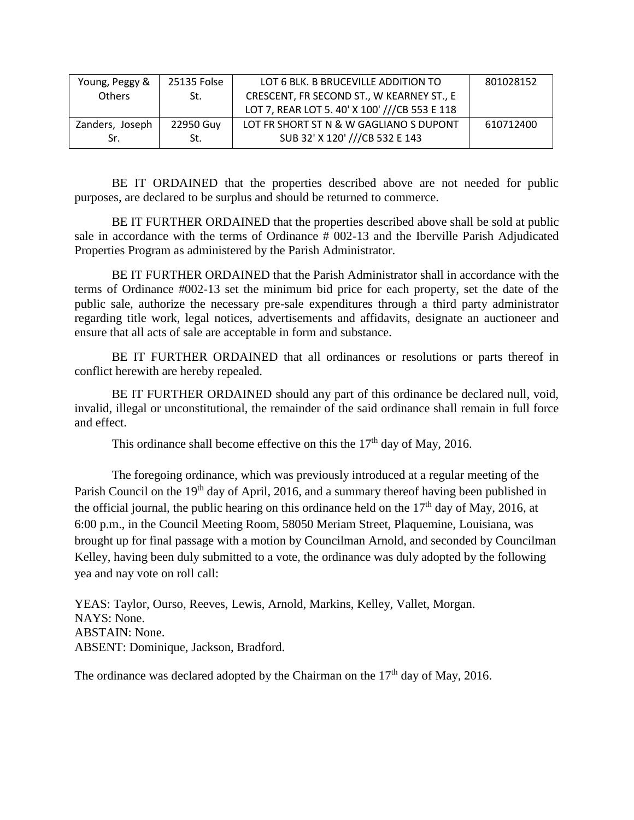| Young, Peggy &  | 25135 Folse | LOT 6 BLK. B BRUCEVILLE ADDITION TO           | 801028152 |
|-----------------|-------------|-----------------------------------------------|-----------|
|                 |             |                                               |           |
| <b>Others</b>   | St.         | CRESCENT, FR SECOND ST., W KEARNEY ST., E     |           |
|                 |             | LOT 7, REAR LOT 5. 40' X 100' ///CB 553 E 118 |           |
|                 |             |                                               |           |
| Zanders, Joseph | 22950 Guy   | LOT FR SHORT ST N & W GAGLIANO S DUPONT       | 610712400 |
|                 |             |                                               |           |
| Sr.             | St.         | SUB 32' X 120' ///CB 532 E 143                |           |
|                 |             |                                               |           |

BE IT ORDAINED that the properties described above are not needed for public purposes, are declared to be surplus and should be returned to commerce.

BE IT FURTHER ORDAINED that the properties described above shall be sold at public sale in accordance with the terms of Ordinance # 002-13 and the Iberville Parish Adjudicated Properties Program as administered by the Parish Administrator.

BE IT FURTHER ORDAINED that the Parish Administrator shall in accordance with the terms of Ordinance #002-13 set the minimum bid price for each property, set the date of the public sale, authorize the necessary pre-sale expenditures through a third party administrator regarding title work, legal notices, advertisements and affidavits, designate an auctioneer and ensure that all acts of sale are acceptable in form and substance.

BE IT FURTHER ORDAINED that all ordinances or resolutions or parts thereof in conflict herewith are hereby repealed.

BE IT FURTHER ORDAINED should any part of this ordinance be declared null, void, invalid, illegal or unconstitutional, the remainder of the said ordinance shall remain in full force and effect.

This ordinance shall become effective on this the  $17<sup>th</sup>$  day of May, 2016.

The foregoing ordinance, which was previously introduced at a regular meeting of the Parish Council on the 19<sup>th</sup> day of April, 2016, and a summary thereof having been published in the official journal, the public hearing on this ordinance held on the  $17<sup>th</sup>$  day of May, 2016, at 6:00 p.m., in the Council Meeting Room, 58050 Meriam Street, Plaquemine, Louisiana, was brought up for final passage with a motion by Councilman Arnold, and seconded by Councilman Kelley, having been duly submitted to a vote, the ordinance was duly adopted by the following yea and nay vote on roll call:

YEAS: Taylor, Ourso, Reeves, Lewis, Arnold, Markins, Kelley, Vallet, Morgan. NAYS: None. ABSTAIN: None. ABSENT: Dominique, Jackson, Bradford.

The ordinance was declared adopted by the Chairman on the  $17<sup>th</sup>$  day of May, 2016.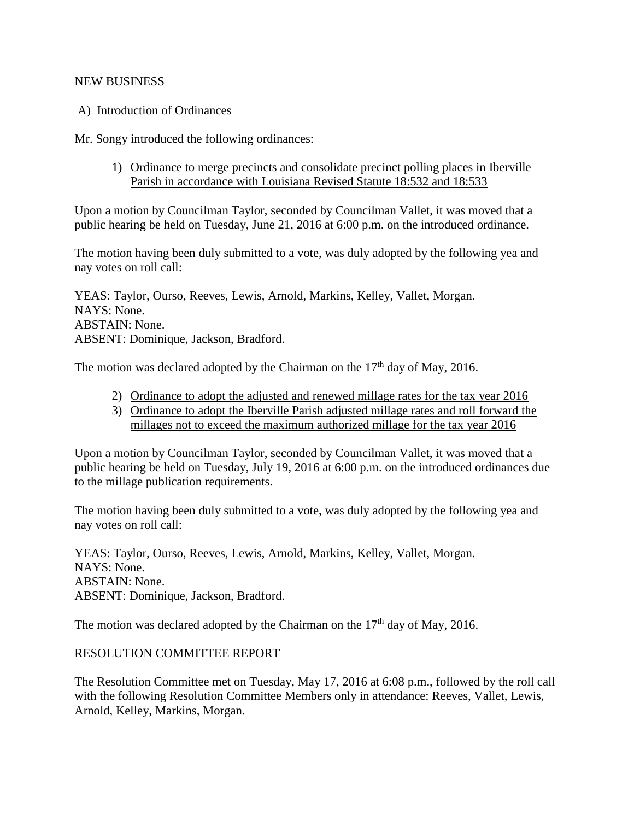#### NEW BUSINESS

#### A) Introduction of Ordinances

Mr. Songy introduced the following ordinances:

1) Ordinance to merge precincts and consolidate precinct polling places in Iberville Parish in accordance with Louisiana Revised Statute 18:532 and 18:533

Upon a motion by Councilman Taylor, seconded by Councilman Vallet, it was moved that a public hearing be held on Tuesday, June 21, 2016 at 6:00 p.m. on the introduced ordinance.

The motion having been duly submitted to a vote, was duly adopted by the following yea and nay votes on roll call:

YEAS: Taylor, Ourso, Reeves, Lewis, Arnold, Markins, Kelley, Vallet, Morgan. NAYS: None. ABSTAIN: None. ABSENT: Dominique, Jackson, Bradford.

The motion was declared adopted by the Chairman on the  $17<sup>th</sup>$  day of May, 2016.

- 2) Ordinance to adopt the adjusted and renewed millage rates for the tax year 2016
- 3) Ordinance to adopt the Iberville Parish adjusted millage rates and roll forward the millages not to exceed the maximum authorized millage for the tax year 2016

Upon a motion by Councilman Taylor, seconded by Councilman Vallet, it was moved that a public hearing be held on Tuesday, July 19, 2016 at 6:00 p.m. on the introduced ordinances due to the millage publication requirements.

The motion having been duly submitted to a vote, was duly adopted by the following yea and nay votes on roll call:

YEAS: Taylor, Ourso, Reeves, Lewis, Arnold, Markins, Kelley, Vallet, Morgan. NAYS: None. ABSTAIN: None. ABSENT: Dominique, Jackson, Bradford.

The motion was declared adopted by the Chairman on the  $17<sup>th</sup>$  day of May, 2016.

#### RESOLUTION COMMITTEE REPORT

The Resolution Committee met on Tuesday, May 17, 2016 at 6:08 p.m., followed by the roll call with the following Resolution Committee Members only in attendance: Reeves, Vallet, Lewis, Arnold, Kelley, Markins, Morgan.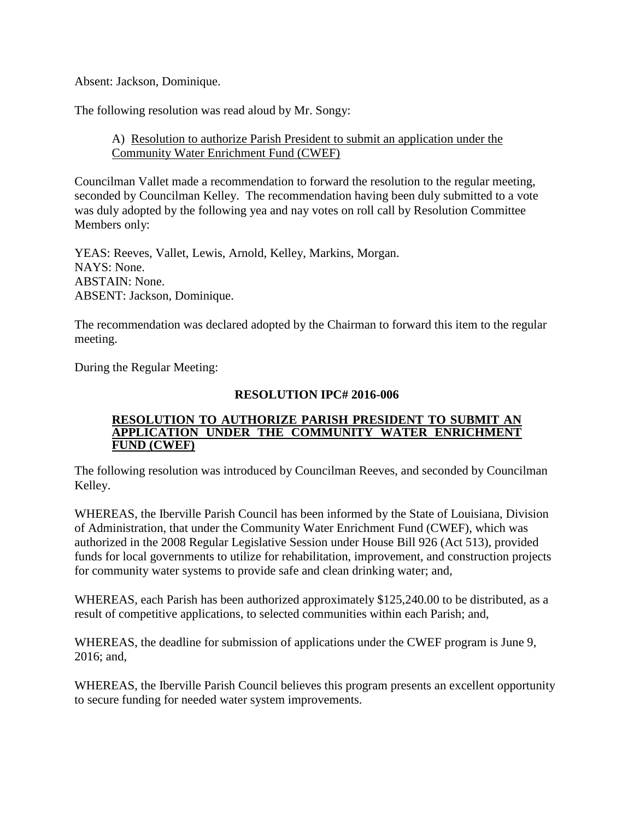Absent: Jackson, Dominique.

The following resolution was read aloud by Mr. Songy:

## A) Resolution to authorize Parish President to submit an application under the Community Water Enrichment Fund (CWEF)

Councilman Vallet made a recommendation to forward the resolution to the regular meeting, seconded by Councilman Kelley. The recommendation having been duly submitted to a vote was duly adopted by the following yea and nay votes on roll call by Resolution Committee Members only:

YEAS: Reeves, Vallet, Lewis, Arnold, Kelley, Markins, Morgan. NAYS: None. ABSTAIN: None. ABSENT: Jackson, Dominique.

The recommendation was declared adopted by the Chairman to forward this item to the regular meeting.

During the Regular Meeting:

#### **RESOLUTION IPC# 2016-006**

#### **RESOLUTION TO AUTHORIZE PARISH PRESIDENT TO SUBMIT AN APPLICATION UNDER THE COMMUNITY WATER ENRICHMENT FUND (CWEF)**

The following resolution was introduced by Councilman Reeves, and seconded by Councilman Kelley.

WHEREAS, the Iberville Parish Council has been informed by the State of Louisiana, Division of Administration, that under the Community Water Enrichment Fund (CWEF), which was authorized in the 2008 Regular Legislative Session under House Bill 926 (Act 513), provided funds for local governments to utilize for rehabilitation, improvement, and construction projects for community water systems to provide safe and clean drinking water; and,

WHEREAS, each Parish has been authorized approximately \$125,240.00 to be distributed, as a result of competitive applications, to selected communities within each Parish; and,

WHEREAS, the deadline for submission of applications under the CWEF program is June 9, 2016; and,

WHEREAS, the Iberville Parish Council believes this program presents an excellent opportunity to secure funding for needed water system improvements.